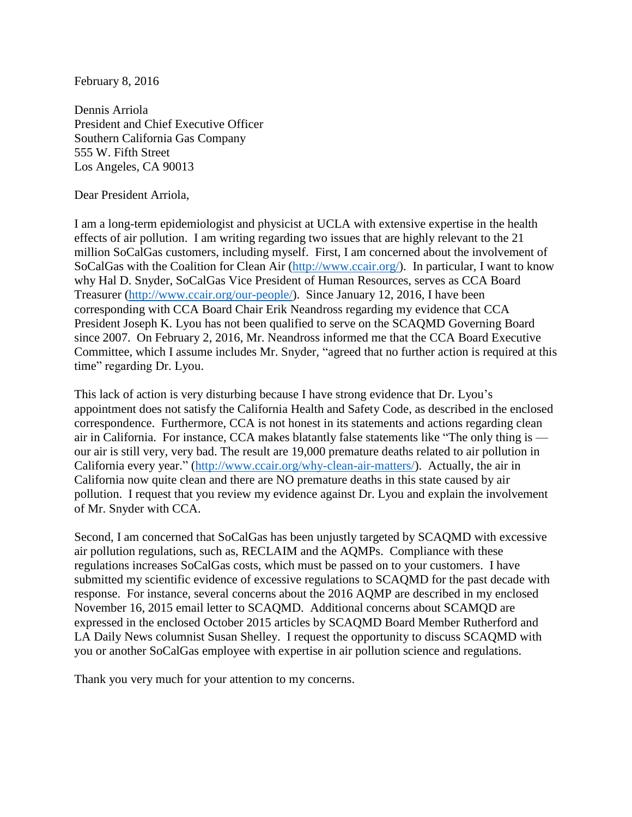February 8, 2016

Dennis Arriola President and Chief Executive Officer Southern California Gas Company 555 W. Fifth Street Los Angeles, CA 90013

Dear President Arriola,

I am a long-term epidemiologist and physicist at UCLA with extensive expertise in the health effects of air pollution. I am writing regarding two issues that are highly relevant to the 21 million SoCalGas customers, including myself. First, I am concerned about the involvement of SoCalGas with the Coalition for Clean Air [\(http://www.ccair.org/\)](http://www.ccair.org/). In particular, I want to know why Hal D. Snyder, SoCalGas Vice President of Human Resources, serves as CCA Board Treasurer [\(http://www.ccair.org/our-people/\)](http://www.ccair.org/our-people/). Since January 12, 2016, I have been corresponding with CCA Board Chair Erik Neandross regarding my evidence that CCA President Joseph K. Lyou has not been qualified to serve on the SCAQMD Governing Board since 2007. On February 2, 2016, Mr. Neandross informed me that the CCA Board Executive Committee, which I assume includes Mr. Snyder, "agreed that no further action is required at this time" regarding Dr. Lyou.

This lack of action is very disturbing because I have strong evidence that Dr. Lyou's appointment does not satisfy the California Health and Safety Code, as described in the enclosed correspondence. Furthermore, CCA is not honest in its statements and actions regarding clean air in California. For instance, CCA makes blatantly false statements like "The only thing is our air is still very, very bad. The result are 19,000 premature deaths related to air pollution in California every year." [\(http://www.ccair.org/why-clean-air-matters/\)](http://www.ccair.org/why-clean-air-matters/). Actually, the air in California now quite clean and there are NO premature deaths in this state caused by air pollution. I request that you review my evidence against Dr. Lyou and explain the involvement of Mr. Snyder with CCA.

Second, I am concerned that SoCalGas has been unjustly targeted by SCAQMD with excessive air pollution regulations, such as, RECLAIM and the AQMPs. Compliance with these regulations increases SoCalGas costs, which must be passed on to your customers. I have submitted my scientific evidence of excessive regulations to SCAQMD for the past decade with response. For instance, several concerns about the 2016 AQMP are described in my enclosed November 16, 2015 email letter to SCAQMD. Additional concerns about SCAMQD are expressed in the enclosed October 2015 articles by SCAQMD Board Member Rutherford and LA Daily News columnist Susan Shelley. I request the opportunity to discuss SCAQMD with you or another SoCalGas employee with expertise in air pollution science and regulations.

Thank you very much for your attention to my concerns.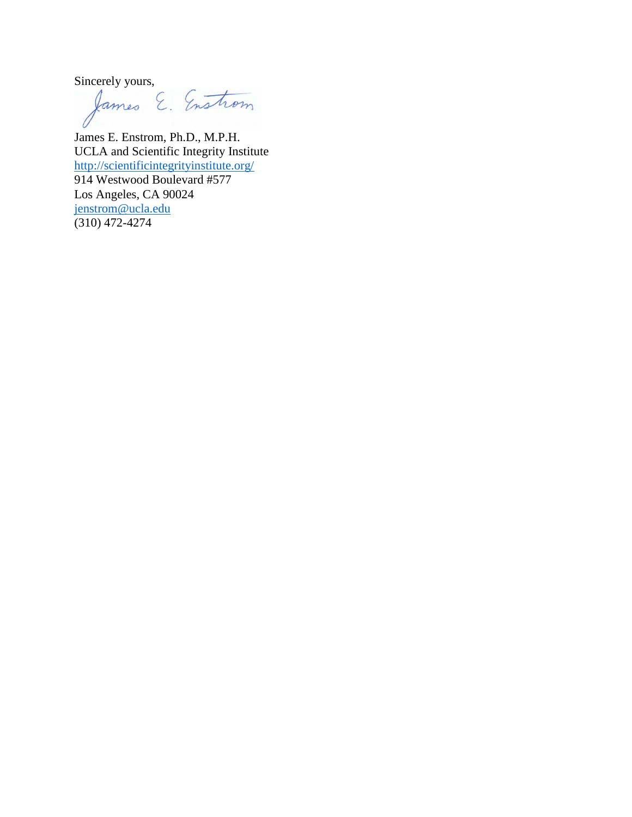Sincerely yours,<br>James E. Enstrom

James E. Enstrom, Ph.D., M.P.H. UCLA and Scientific Integrity Institute <http://scientificintegrityinstitute.org/> 914 Westwood Boulevard #577 Los Angeles, CA 90024 [jenstrom@ucla.edu](mailto:jenstrom@ucla.edu) (310) 472-4274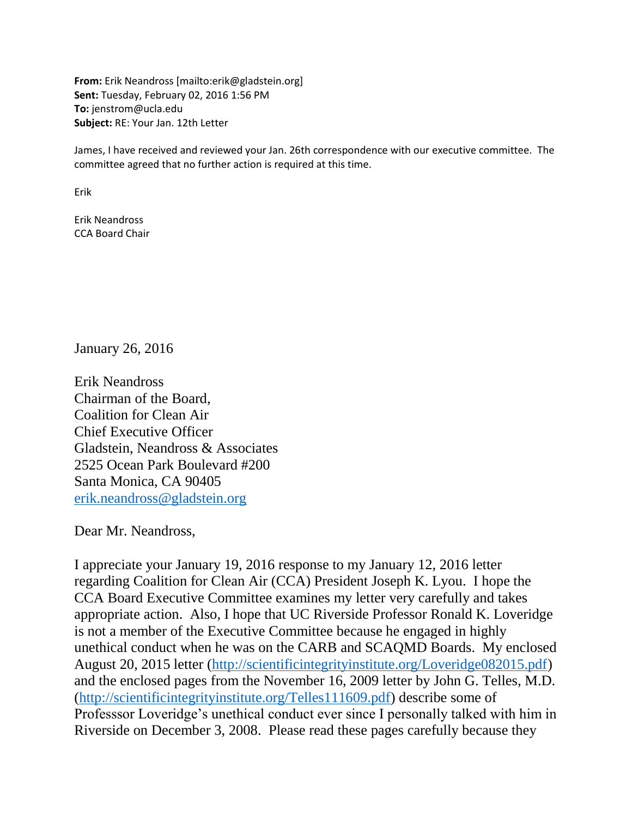**From:** Erik Neandross [mailto:erik@gladstein.org] **Sent:** Tuesday, February 02, 2016 1:56 PM **To:** jenstrom@ucla.edu **Subject:** RE: Your Jan. 12th Letter

James, I have received and reviewed your Jan. 26th correspondence with our executive committee. The committee agreed that no further action is required at this time.

Erik

Erik Neandross CCA Board Chair

January 26, 2016

Erik Neandross Chairman of the Board, Coalition for Clean Air Chief Executive Officer Gladstein, Neandross & Associates 2525 Ocean Park Boulevard #200 Santa Monica, CA 90405 [erik.neandross@gladstein.org](mailto:erik.neandross@gladstein.org)

Dear Mr. Neandross,

I appreciate your January 19, 2016 response to my January 12, 2016 letter regarding Coalition for Clean Air (CCA) President Joseph K. Lyou. I hope the CCA Board Executive Committee examines my letter very carefully and takes appropriate action. Also, I hope that UC Riverside Professor Ronald K. Loveridge is not a member of the Executive Committee because he engaged in highly unethical conduct when he was on the CARB and SCAQMD Boards. My enclosed August 20, 2015 letter [\(http://scientificintegrityinstitute.org/Loveridge082015.pdf\)](http://scientificintegrityinstitute.org/Loveridge082015.pdf) and the enclosed pages from the November 16, 2009 letter by John G. Telles, M.D. [\(http://scientificintegrityinstitute.org/Telles111609.pdf\)](http://scientificintegrityinstitute.org/Telles111609.pdf) describe some of Professsor Loveridge's unethical conduct ever since I personally talked with him in Riverside on December 3, 2008. Please read these pages carefully because they